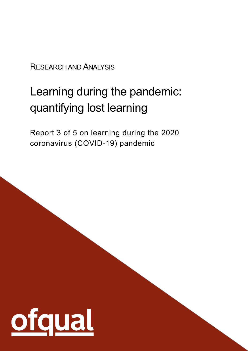RESEARCH AND ANALYSIS

# Learning during the pandemic: quantifying lost learning

Report 3 of 5 on learning during the 2020 coronavirus (COVID-19) pandemic

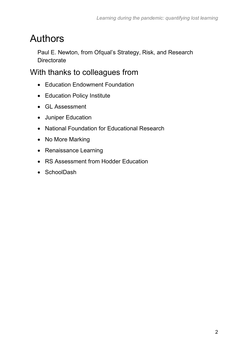# Authors

Paul E. Newton, from Ofqual's Strategy, Risk, and Research **Directorate** 

### With thanks to colleagues from

- Education Endowment Foundation
- Education Policy Institute
- GL Assessment
- Juniper Education
- National Foundation for Educational Research
- No More Marking
- Renaissance Learning
- RS Assessment from Hodder Education
- SchoolDash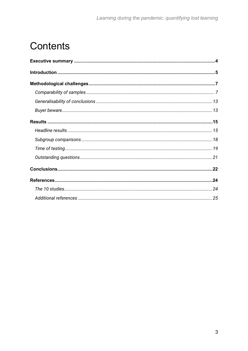# **Contents**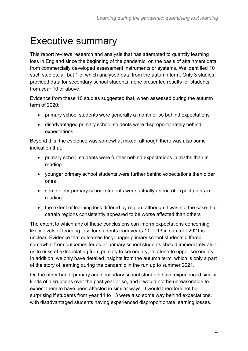# <span id="page-3-0"></span>Executive summary

This report reviews research and analysis that has attempted to quantify learning loss in England since the beginning of the pandemic, on the basis of attainment data from commercially developed assessment instruments or systems. We identified 10 such studies, all but 1 of which analysed data from the autumn term. Only 3 studies provided data for secondary school students; none presented results for students from year 10 or above.

Evidence from these 10 studies suggested that, when assessed during the autumn term of 2020:

- primary school students were generally a month or so behind expectations
- disadvantaged primary school students were disproportionately behind expectations

Beyond this, the evidence was somewhat mixed, although there was also some indication that:

- primary school students were further behind expectations in maths than in reading
- younger primary school students were further behind expectations than older ones
- some older primary school students were actually ahead of expectations in reading
- the extent of learning loss differed by region, although it was not the case that certain regions consistently appeared to be worse affected than others

The extent to which any of these conclusions can inform expectations concerning likely levels of learning loss for students from years 11 to 13 in summer 2021 is unclear. Evidence that outcomes for younger primary school students differed somewhat from outcomes for older primary school students should immediately alert us to risks of extrapolating from primary to secondary, let alone to upper secondary. In addition, we only have detailed insights from the autumn term, which is only a part of the story of learning during the pandemic in the run up to summer 2021.

On the other hand, primary and secondary school students have experienced similar kinds of disruptions over the past year or so, and it would not be unreasonable to expect them to have been affected in similar ways. It would therefore not be surprising if students from year 11 to 13 were also some way behind expectations, with disadvantaged students having experienced disproportionate learning losses.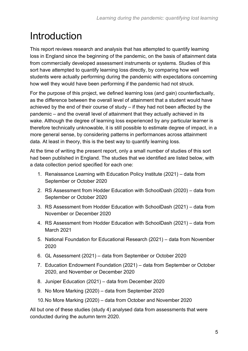# <span id="page-4-0"></span>Introduction

This report reviews research and analysis that has attempted to quantify learning loss in England since the beginning of the pandemic, on the basis of attainment data from commercially developed assessment instruments or systems. Studies of this sort have attempted to quantify learning loss directly, by comparing how well students were actually performing during the pandemic with expectations concerning how well they would have been performing if the pandemic had not struck.

For the purpose of this project, we defined learning loss (and gain) counterfactually, as the difference between the overall level of attainment that a student would have achieved by the end of their course of study – if they had not been affected by the pandemic – and the overall level of attainment that they actually achieved in its wake. Although the degree of learning loss experienced by any particular learner is therefore technically unknowable, it is still possible to estimate degree of impact, in a more general sense, by considering patterns in performances across attainment data. At least in theory, this is the best way to quantify learning loss.

At the time of writing the present report, only a small number of studies of this sort had been published in England. The studies that we identified are listed below, with a data collection period specified for each one:

- 1. Renaissance Learning with Education Policy Institute (2021) data from September or October 2020
- 2. RS Assessment from Hodder Education with SchoolDash (2020) data from September or October 2020
- 3. RS Assessment from Hodder Education with SchoolDash (2021) data from November or December 2020
- 4. RS Assessment from Hodder Education with SchoolDash (2021) data from March 2021
- 5. National Foundation for Educational Research (2021) data from November 2020
- 6. GL Assessment (2021) data from September or October 2020
- 7. Education Endowment Foundation (2021) data from September or October 2020, and November or December 2020
- 8. Juniper Education (2021) data from December 2020
- 9. No More Marking (2020) data from September 2020
- 10.No More Marking (2020) data from October and November 2020

All but one of these studies (study 4) analysed data from assessments that were conducted during the autumn term 2020.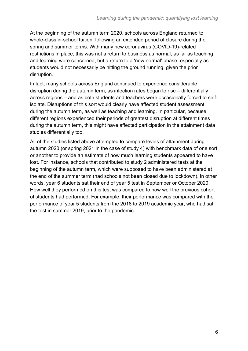At the beginning of the autumn term 2020, schools across England returned to whole-class in-school tuition, following an extended period of closure during the spring and summer terms. With many new coronavirus (COVID-19)-related restrictions in place, this was not a return to business as normal, as far as teaching and learning were concerned, but a return to a 'new normal' phase, especially as students would not necessarily be hitting the ground running, given the prior disruption.

In fact, many schools across England continued to experience considerable disruption during the autumn term, as infection rates began to rise – differentially across regions – and as both students and teachers were occasionally forced to selfisolate. Disruptions of this sort would clearly have affected student assessment during the autumn term, as well as teaching and learning. In particular, because different regions experienced their periods of greatest disruption at different times during the autumn term, this might have affected participation in the attainment data studies differentially too.

All of the studies listed above attempted to compare levels of attainment during autumn 2020 (or spring 2021 in the case of study 4) with benchmark data of one sort or another to provide an estimate of how much learning students appeared to have lost. For instance, schools that contributed to study 2 administered tests at the beginning of the autumn term, which were supposed to have been administered at the end of the summer term (had schools not been closed due to lockdown). In other words, year 6 students sat their end of year 5 test in September or October 2020. How well they performed on this test was compared to how well the previous cohort of students had performed. For example, their performance was compared with the performance of year 5 students from the 2018 to 2019 academic year, who had sat the test in summer 2019, prior to the pandemic.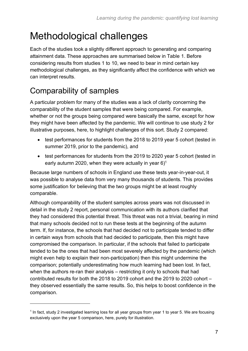# <span id="page-6-0"></span>Methodological challenges

Each of the studies took a slightly different approach to generating and comparing attainment data. These approaches are summarised below in Table 1. Before considering results from studies 1 to 10, we need to bear in mind certain key methodological challenges, as they significantly affect the confidence with which we can interpret results.

## <span id="page-6-1"></span>Comparability of samples

A particular problem for many of the studies was a lack of clarity concerning the comparability of the student samples that were being compared. For example, whether or not the groups being compared were basically the same, except for how they might have been affected by the pandemic. We will continue to use study 2 for illustrative purposes, here, to highlight challenges of this sort. Study 2 compared:

- test performances for students from the 2018 to 2019 year 5 cohort (tested in summer 2019, prior to the pandemic), and
- test performances for students from the 2019 to 2020 year 5 cohort (tested in early autumn 2020, when they were actually in year  $6$ <sup>1</sup>

Because large numbers of schools in England use these tests year-in-year-out, it was possible to analyse data from very many thousands of students. This provides some justification for believing that the two groups might be at least roughly comparable.

Although comparability of the student samples across years was not discussed in detail in the study 2 report, personal communication with its authors clarified that they had considered this potential threat. This threat was not a trivial, bearing in mind that many schools decided not to run these tests at the beginning of the autumn term. If, for instance, the schools that had decided not to participate tended to differ in certain ways from schools that had decided to participate, then this might have compromised the comparison. In particular, if the schools that failed to participate tended to be the ones that had been most severely affected by the pandemic (which might even help to explain their non-participation) then this might undermine the comparison; potentially underestimating how much learning had been lost. In fact, when the authors re-ran their analysis – restricting it only to schools that had contributed results for both the 2018 to 2019 cohort and the 2019 to 2020 cohort – they observed essentially the same results. So, this helps to boost confidence in the comparison.

<sup>&</sup>lt;sup>1</sup> In fact, study 2 investigated learning loss for all year groups from year 1 to year 5. We are focusing exclusively upon the year 5 comparison, here, purely for illustration.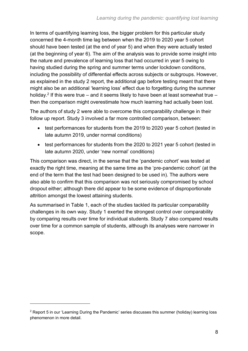In terms of quantifying learning loss, the bigger problem for this particular study concerned the 4-month time lag between when the 2019 to 2020 year 5 cohort should have been tested (at the end of year 5) and when they were actually tested (at the beginning of year 6). The aim of the analysis was to provide some insight into the nature and prevalence of learning loss that had occurred in year 5 owing to having studied during the spring and summer terms under lockdown conditions, including the possibility of differential effects across subjects or subgroups. However, as explained in the study 2 report, the additional gap before testing meant that there might also be an additional 'learning loss' effect due to forgetting during the summer holiday.<sup>2</sup> If this were true – and it seems likely to have been at least somewhat true – then the comparison might overestimate how much learning had actually been lost.

The authors of study 2 were able to overcome this comparability challenge in their follow up report. Study 3 involved a far more controlled comparison, between:

- test performances for students from the 2019 to 2020 year 5 cohort (tested in late autumn 2019, under normal conditions)
- test performances for students from the 2020 to 2021 year 5 cohort (tested in late autumn 2020, under 'new normal' conditions)

This comparison was direct, in the sense that the 'pandemic cohort' was tested at exactly the right time, meaning at the same time as the 'pre-pandemic cohort' (at the end of the term that the test had been designed to be used in). The authors were also able to confirm that this comparison was not seriously compromised by school dropout either; although there did appear to be some evidence of disproportionate attrition amongst the lowest attaining students.

As summarised in Table 1, each of the studies tackled its particular comparability challenges in its own way. Study 1 exerted the strongest control over comparability by comparing results over time for individual students. Study 7 also compared results over time for a common sample of students, although its analyses were narrower in scope.

<sup>&</sup>lt;sup>2</sup> Report 5 in our 'Learning During the Pandemic' series discusses this summer (holiday) learning loss phenomenon in more detail.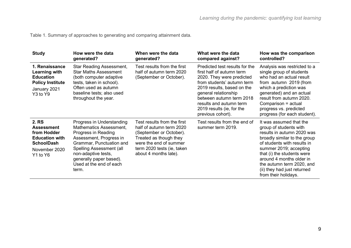Table 1. Summary of approaches to generating and comparing attainment data.

| <b>Study</b>                                                                                                         | How were the data<br>generated?                                                                                                                                                                                                                             | When were the data<br>generated?                                                                                                                                                              | What were the data<br>compared against?                                                                                                                                                                                                                                               | How was the comparison<br>controlled?                                                                                                                                                                                                                                                                                  |
|----------------------------------------------------------------------------------------------------------------------|-------------------------------------------------------------------------------------------------------------------------------------------------------------------------------------------------------------------------------------------------------------|-----------------------------------------------------------------------------------------------------------------------------------------------------------------------------------------------|---------------------------------------------------------------------------------------------------------------------------------------------------------------------------------------------------------------------------------------------------------------------------------------|------------------------------------------------------------------------------------------------------------------------------------------------------------------------------------------------------------------------------------------------------------------------------------------------------------------------|
| 1. Renaissance<br>Learning with<br><b>Education</b><br><b>Policy Institute</b><br>January 2021<br>Y3 to Y9           | Star Reading Assessment,<br><b>Star Maths Assessment</b><br>(both computer adaptive<br>tests, taken in school).<br>Often used as autumn<br>baseline tests; also used<br>throughout the year.                                                                | Test results from the first<br>half of autumn term 2020<br>(September or October).                                                                                                            | Predicted test results for the<br>first half of autumn term<br>2020. They were predicted<br>from students' autumn term<br>2019 results, based on the<br>general relationship<br>between autumn term 2018<br>results and autumn term<br>2019 results (ie, for the<br>previous cohort). | Analysis was restricted to a<br>single group of students<br>who had an actual result<br>from autumn 2019 (from<br>which a prediction was<br>generated) and an actual<br>result from autumn 2020.<br>Comparison = actual<br>progress vs. predicted<br>progress (for each student).                                      |
| 2. RS<br><b>Assessment</b><br>from Hodder<br><b>Education with</b><br><b>SchoolDash</b><br>November 2020<br>Y1 to Y6 | Progress in Understanding<br><b>Mathematics Assessment,</b><br>Progress in Reading<br>Assessment, Progress in<br>Grammar, Punctuation and<br>Spelling Assessment (all<br>non-adaptive tests,<br>generally paper based).<br>Used at the end of each<br>term. | Test results from the first<br>half of autumn term 2020<br>(September or October).<br>Treated as though they<br>were the end of summer<br>term 2020 tests (ie, taken<br>about 4 months late). | Test results from the end of<br>summer term 2019.                                                                                                                                                                                                                                     | It was assumed that the<br>group of students with<br>results in autumn 2020 was<br>broadly similar to the group<br>of students with results in<br>summer 2019; accepting<br>that (i) the students were<br>around 4 months older in<br>the autumn term 2020, and<br>(ii) they had just returned<br>from their holidays. |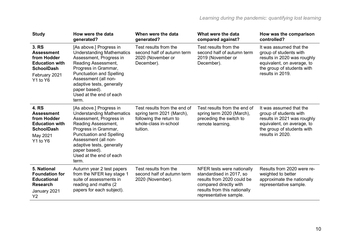| <b>Study</b>                                                                                                           | How were the data<br>generated?                                                                                                                                                                                                                                                    | When were the data<br>generated?                                                                                          | What were the data<br>compared against?                                                                                                                                  | How was the comparison<br>controlled?                                                                                                                            |
|------------------------------------------------------------------------------------------------------------------------|------------------------------------------------------------------------------------------------------------------------------------------------------------------------------------------------------------------------------------------------------------------------------------|---------------------------------------------------------------------------------------------------------------------------|--------------------------------------------------------------------------------------------------------------------------------------------------------------------------|------------------------------------------------------------------------------------------------------------------------------------------------------------------|
| 3. RS<br><b>Assessment</b><br>from Hodder<br><b>Education with</b><br><b>SchoolDash</b><br>February 2021<br>Y1 to Y6   | [As above.] Progress in<br><b>Understanding Mathematics</b><br>Assessment, Progress in<br>Reading Assessment,<br>Progress in Grammar,<br><b>Punctuation and Spelling</b><br>Assessment (all non-<br>adaptive tests, generally<br>paper based).<br>Used at the end of each<br>term. | Test results from the<br>second half of autumn term<br>2020 (November or<br>December).                                    | Test results from the<br>second half of autumn term<br>2019 (November or<br>December).                                                                                   | It was assumed that the<br>group of students with<br>results in 2020 was roughly<br>equivalent, on average, to<br>the group of students with<br>results in 2019. |
| <b>4. RS</b><br><b>Assessment</b><br>from Hodder<br><b>Education with</b><br><b>SchoolDash</b><br>May 2021<br>Y1 to Y6 | [As above.] Progress in<br><b>Understanding Mathematics</b><br>Assessment, Progress in<br>Reading Assessment,<br>Progress in Grammar,<br><b>Punctuation and Spelling</b><br>Assessment (all non-<br>adaptive tests, generally<br>paper based).<br>Used at the end of each<br>term. | Test results from the end of<br>spring term 2021 (March),<br>following the return to<br>whole-class in-school<br>tuition. | Test results from the end of<br>spring term 2020 (March),<br>preceding the switch to<br>remote learning.                                                                 | It was assumed that the<br>group of students with<br>results in 2021 was roughly<br>equivalent, on average, to<br>the group of students with<br>results in 2020. |
| 5. National<br><b>Foundation for</b><br><b>Educational</b><br><b>Research</b><br>January 2021<br>Y2                    | Autumn year 2 test papers<br>from the NFER key stage 1<br>suite of assessments in<br>reading and maths (2)<br>papers for each subject).                                                                                                                                            | Test results from the<br>second half of autumn term<br>2020 (November).                                                   | NFER tests were nationally<br>standardised in 2017, so<br>results from 2020 could be<br>compared directly with<br>results from this nationally<br>representative sample. | Results from 2020 were re-<br>weighted to better<br>approximate the nationally<br>representative sample.                                                         |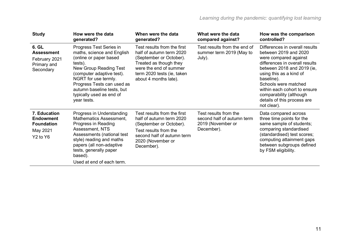| <b>Study</b>                                                                                          | How were the data<br>generated?                                                                                                                                                                                                                                                  | When were the data<br>generated?                                                                                                                                                              | What were the data<br>compared against?                                                | How was the comparison<br>controlled?                                                                                                                                                                                                                                                                                      |
|-------------------------------------------------------------------------------------------------------|----------------------------------------------------------------------------------------------------------------------------------------------------------------------------------------------------------------------------------------------------------------------------------|-----------------------------------------------------------------------------------------------------------------------------------------------------------------------------------------------|----------------------------------------------------------------------------------------|----------------------------------------------------------------------------------------------------------------------------------------------------------------------------------------------------------------------------------------------------------------------------------------------------------------------------|
| 6. GL<br><b>Assessment</b><br>February 2021<br>Primary and<br>Secondary                               | Progress Test Series in<br>maths, science and English<br>(online or paper based<br>tests).<br>New Group Reading Test<br>(computer adaptive test).<br>NGRT for use termly.<br>Progress Tests can used as<br>autumn baseline tests, but<br>typically used as end of<br>year tests. | Test results from the first<br>half of autumn term 2020<br>(September or October).<br>Treated as though they<br>were the end of summer<br>term 2020 tests (ie, taken<br>about 4 months late). | Test results from the end of<br>summer term 2019 (May to<br>July).                     | Differences in overall results<br>between 2019 and 2020<br>were compared against<br>differences in overall results<br>between 2018 and 2019 (ie,<br>using this as a kind of<br>baseline).<br>Schools were matched<br>within each cohort to ensure<br>comparability (although<br>details of this process are<br>not clear). |
| 7. Education<br><b>Endowment</b><br><b>Foundation</b><br>May 2021<br>Y <sub>2</sub> to Y <sub>6</sub> | Progress in Understanding<br>Mathematics Assessment,<br>Progress in Reading<br>Assessment, NTS<br>Assessments (national test<br>style) reading and maths<br>papers (all non-adaptive<br>tests, generally paper<br>based).<br>Used at end of each term.                           | Test results from the first<br>half of autumn term 2020<br>(September or October).<br>Test results from the<br>second half of autumn term<br>2020 (November or<br>December).                  | Test results from the<br>second half of autumn term<br>2019 (November or<br>December). | Data compared across<br>three time points for the<br>same sample of students;<br>comparing standardised<br>(standardised) test scores;<br>computing attainment gaps<br>between subgroups defined<br>by FSM eligibility.                                                                                                    |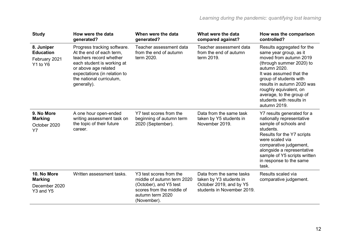| <b>Study</b>                                                | How were the data<br>generated?                                                                                                                                                                                     | When were the data<br>generated?                                                                                                                | What were the data<br>compared against?                                                                      | How was the comparison<br>controlled?                                                                                                                                                                                                                                                                           |
|-------------------------------------------------------------|---------------------------------------------------------------------------------------------------------------------------------------------------------------------------------------------------------------------|-------------------------------------------------------------------------------------------------------------------------------------------------|--------------------------------------------------------------------------------------------------------------|-----------------------------------------------------------------------------------------------------------------------------------------------------------------------------------------------------------------------------------------------------------------------------------------------------------------|
| 8. Juniper<br><b>Education</b><br>February 2021<br>Y1 to Y6 | Progress tracking software.<br>At the end of each term,<br>teachers record whether<br>each student is working at<br>or above age related<br>expectations (in relation to<br>the national curriculum,<br>generally). | Teacher assessment data<br>from the end of autumn<br>term 2020.                                                                                 | Teacher assessment data<br>from the end of autumn<br>term 2019.                                              | Results aggregated for the<br>same year group, as it<br>moved from autumn 2019<br>(through summer 2020) to<br>autumn 2020.<br>It was assumed that the<br>group of students with<br>results in autumn 2020 was<br>roughly equivalent, on<br>average, to the group of<br>students with results in<br>autumn 2019. |
| 9. No More<br><b>Marking</b><br>October 2020<br><b>Y7</b>   | A one hour open-ended<br>writing assessment task on<br>the topic of their future<br>career.                                                                                                                         | Y7 test scores from the<br>beginning of autumn term<br>2020 (September).                                                                        | Data from the same task<br>taken by Y5 students in<br>November 2019.                                         | Y7 results generated for a<br>nationally representative<br>sample of schools and<br>students.<br>Results for the Y7 scripts<br>were scaled via<br>comparative judgement,<br>alongside a representative<br>sample of Y5 scripts written<br>in response to the same<br>task.                                      |
| 10. No More<br><b>Marking</b><br>December 2020<br>Y3 and Y5 | Written assessment tasks.                                                                                                                                                                                           | Y3 test scores from the<br>middle of autumn term 2020<br>(October), and Y5 test<br>scores from the middle of<br>autumn term 2020<br>(November). | Data from the same tasks<br>taken by Y3 students in<br>October 2019, and by Y5<br>students in November 2019. | Results scaled via<br>comparative judgement.                                                                                                                                                                                                                                                                    |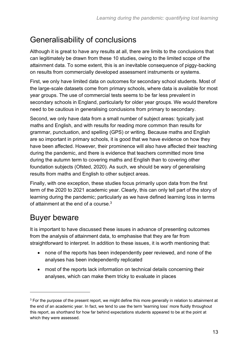### <span id="page-12-0"></span>Generalisability of conclusions

Although it is great to have any results at all, there are limits to the conclusions that can legitimately be drawn from these 10 studies, owing to the limited scope of the attainment data. To some extent, this is an inevitable consequence of piggy-backing on results from commercially developed assessment instruments or systems.

First, we only have limited data on outcomes for secondary school students. Most of the large-scale datasets come from primary schools, where data is available for most year groups. The use of commercial tests seems to be far less prevalent in secondary schools in England, particularly for older year groups. We would therefore need to be cautious in generalising conclusions from primary to secondary.

Second, we only have data from a small number of subject areas: typically just maths and English, and with results for reading more common than results for grammar, punctuation, and spelling (GPS) or writing. Because maths and English are so important in primary schools, it is good that we have evidence on how they have been affected. However, their prominence will also have affected their teaching during the pandemic, and there is evidence that teachers committed more time during the autumn term to covering maths and English than to covering other foundation subjects (Ofsted, 2020). As such, we should be wary of generalising results from maths and English to other subject areas.

Finally, with one exception, these studies focus primarily upon data from the first term of the 2020 to 2021 academic year. Clearly, this can only tell part of the story of learning during the pandemic; particularly as we have defined learning loss in terms of attainment at the end of a course  $3$ 

### <span id="page-12-1"></span>Buyer beware

It is important to have discussed these issues in advance of presenting outcomes from the analysis of attainment data, to emphasise that they are far from straightforward to interpret. In addition to these issues, it is worth mentioning that:

- none of the reports has been independently peer reviewed, and none of the analyses has been independently replicated
- most of the reports lack information on technical details concerning their analyses, which can make them tricky to evaluate in places

<sup>&</sup>lt;sup>3</sup> For the purpose of the present report, we might define this more generally in relation to attainment at the end of an academic year. In fact, we tend to use the term 'learning loss' more fluidly throughout this report, as shorthand for how far behind expectations students appeared to be at the point at which they were assessed.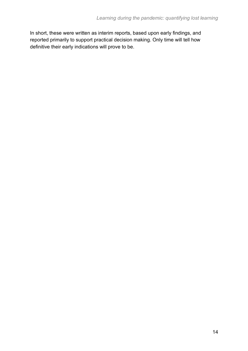In short, these were written as interim reports, based upon early findings, and reported primarily to support practical decision making. Only time will tell how definitive their early indications will prove to be.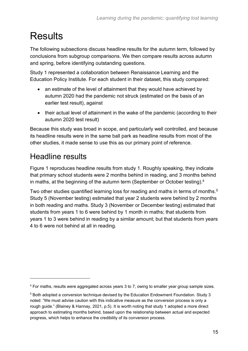# <span id="page-14-0"></span>**Results**

The following subsections discuss headline results for the autumn term, followed by conclusions from subgroup comparisons. We then compare results across autumn and spring, before identifying outstanding questions.

Study 1 represented a collaboration between Renaissance Learning and the Education Policy Institute. For each student in their dataset, this study compared:

- an estimate of the level of attainment that they would have achieved by autumn 2020 had the pandemic not struck (estimated on the basis of an earlier test result), against
- their actual level of attainment in the wake of the pandemic (according to their autumn 2020 test result)

Because this study was broad in scope, and particularly well controlled, and because its headline results were in the same ball park as headline results from most of the other studies, it made sense to use this as our primary point of reference.

### <span id="page-14-1"></span>Headline results

Figure 1 reproduces headline results from study 1. Roughly speaking, they indicate that primary school students were 2 months behind in reading, and 3 months behind in maths, at the beginning of the autumn term (September or October testing).<sup>4</sup>

Two other studies quantified learning loss for reading and maths in terms of months.<sup>5</sup> Study 5 (November testing) estimated that year 2 students were behind by 2 months in both reading and maths. Study 3 (November or December testing) estimated that students from years 1 to 6 were behind by 1 month in maths; that students from years 1 to 3 were behind in reading by a similar amount; but that students from years 4 to 6 were not behind at all in reading.

<sup>4</sup> For maths, results were aggregated across years 3 to 7, owing to smaller year group sample sizes.

<sup>5</sup> Both adopted a conversion technique devised by the Education Endowment Foundation. Study 3 noted: "We must advise caution with this indicative measure as the conversion process is only a rough guide." (Blainey & Hannay, 2021, p.5). It is worth noting that study 1 adopted a more direct approach to estimating months behind, based upon the relationship between actual and expected progress, which helps to enhance the credibility of its conversion process.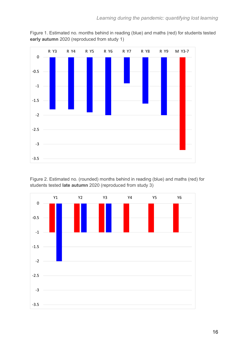

Figure 1. Estimated no. months behind in reading (blue) and maths (red) for students tested **early autumn** 2020 (reproduced from study 1)

Figure 2. Estimated no. (rounded) months behind in reading (blue) and maths (red) for students tested **late autumn** 2020 (reproduced from study 3)

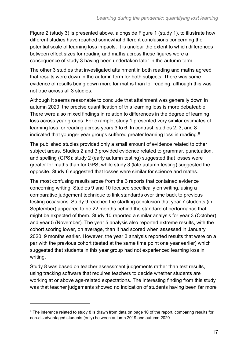Figure 2 (study 3) is presented above, alongside Figure 1 (study 1), to illustrate how different studies have reached somewhat different conclusions concerning the potential scale of learning loss impacts. It is unclear the extent to which differences between effect sizes for reading and maths across these figures were a consequence of study 3 having been undertaken later in the autumn term.

The other 3 studies that investigated attainment in both reading and maths agreed that results were down in the autumn term for both subjects. There was some evidence of results being down more for maths than for reading, although this was not true across all 3 studies.

Although it seems reasonable to conclude that attainment was generally down in autumn 2020, the precise quantification of this learning loss is more debateable. There were also mixed findings in relation to differences in the degree of learning loss across year groups. For example, study 1 presented very similar estimates of learning loss for reading across years 3 to 6. In contrast, studies 2, 3, and 8 indicated that younger year groups suffered greater learning loss in reading.<sup>6</sup>

The published studies provided only a small amount of evidence related to other subject areas. Studies 2 and 3 provided evidence related to grammar, punctuation, and spelling (GPS): study 2 (early autumn testing) suggested that losses were greater for maths than for GPS; while study 3 (late autumn testing) suggested the opposite. Study 6 suggested that losses were similar for science and maths.

The most confusing results arose from the 3 reports that contained evidence concerning writing. Studies 9 and 10 focused specifically on writing, using a comparative judgement technique to link standards over time back to previous testing occasions. Study 9 reached the startling conclusion that year 7 students (in September) appeared to be 22 months behind the standard of performance that might be expected of them. Study 10 reported a similar analysis for year 3 (October) and year 5 (November). The year 5 analysis also reported extreme results, with the cohort scoring lower, on average, than it had scored when assessed in January 2020, 9 months earlier. However, the year 3 analysis reported results that were on a par with the previous cohort (tested at the same time point one year earlier) which suggested that students in this year group had not experienced learning loss in writing.

Study 8 was based on teacher assessment judgements rather than test results, using tracking software that requires teachers to decide whether students are working at or above age-related expectations. The interesting finding from this study was that teacher judgements showed no indication of students having been far more

 $6$  The inference related to study 8 is drawn from data on page 10 of the report, comparing results for non-disadvantaged students (only) between autumn 2019 and autumn 2020.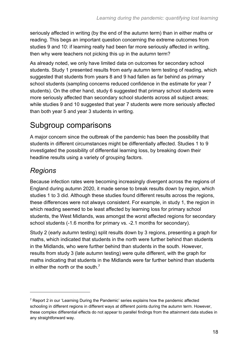seriously affected in writing (by the end of the autumn term) than in either maths or reading. This begs an important question concerning the extreme outcomes from studies 9 and 10: if learning really had been far more seriously affected in writing, then why were teachers not picking this up in the autumn term?

As already noted, we only have limited data on outcomes for secondary school students. Study 1 presented results from early autumn term testing of reading, which suggested that students from years 8 and 9 had fallen as far behind as primary school students (sampling concerns reduced confidence in the estimate for year 7 students). On the other hand, study 6 suggested that primary school students were more seriously affected than secondary school students across all subject areas; while studies 9 and 10 suggested that year 7 students were more seriously affected than both year 5 and year 3 students in writing.

### <span id="page-17-0"></span>Subgroup comparisons

A major concern since the outbreak of the pandemic has been the possibility that students in different circumstances might be differentially affected. Studies 1 to 9 investigated the possibility of differential learning loss, by breaking down their headline results using a variety of grouping factors.

### *Regions*

Because infection rates were becoming increasingly divergent across the regions of England during autumn 2020, it made sense to break results down by region, which studies 1 to 3 did. Although these studies found different results across the regions, these differences were not always consistent. For example, in study 1, the region in which reading seemed to be least affected by learning loss for primary school students, the West Midlands, was amongst the worst affected regions for secondary school students (-1.6 months for primary vs. -2.1 months for secondary).

Study 2 (early autumn testing) split results down by 3 regions, presenting a graph for maths, which indicated that students in the north were further behind than students in the Midlands, who were further behind than students in the south. However, results from study 3 (late autumn testing) were quite different, with the graph for maths indicating that students in the Midlands were far further behind than students in either the north or the south.<sup>7</sup>

<sup>7</sup> Report 2 in our 'Learning During the Pandemic' series explains how the pandemic affected schooling in different regions in different ways at different points during the autumn term. However, these complex differential effects do not appear to parallel findings from the attainment data studies in any straightforward way.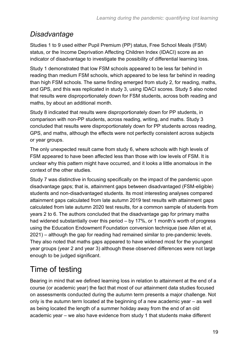### *Disadvantage*

Studies 1 to 9 used either Pupil Premium (PP) status, Free School Meals (FSM) status, or the Income Deprivation Affecting Children Index (IDACI) score as an indicator of disadvantage to investigate the possibility of differential learning loss.

Study 1 demonstrated that low FSM schools appeared to be less far behind in reading than medium FSM schools, which appeared to be less far behind in reading than high FSM schools. The same finding emerged from study 2, for reading, maths, and GPS, and this was replicated in study 3, using IDACI scores. Study 5 also noted that results were disproportionately down for FSM students, across both reading and maths, by about an additional month.

Study 8 indicated that results were disproportionately down for PP students, in comparison with non-PP students, across reading, writing, and maths. Study 3 concluded that results were disproportionately down for PP students across reading, GPS, and maths, although the effects were not perfectly consistent across subjects or year groups.

The only unexpected result came from study 6, where schools with high levels of FSM appeared to have been affected less than those with low levels of FSM. It is unclear why this pattern might have occurred, and it looks a little anomalous in the context of the other studies.

Study 7 was distinctive in focusing specifically on the impact of the pandemic upon disadvantage gaps; that is, attainment gaps between disadvantaged (FSM-eligible) students and non-disadvantaged students. Its most interesting analyses compared attainment gaps calculated from late autumn 2019 test results with attainment gaps calculated from late autumn 2020 test results, for a common sample of students from years 2 to 6. The authors concluded that the disadvantage gap for primary maths had widened substantially over this period – by 17%, or 1 month's worth of progress using the Education Endowment Foundation conversion technique (see Allen et al, 2021) – although the gap for reading had remained similar to pre-pandemic levels. They also noted that maths gaps appeared to have widened most for the youngest year groups (year 2 and year 3) although these observed differences were not large enough to be judged significant.

# <span id="page-18-0"></span>Time of testing

Bearing in mind that we defined learning loss in relation to attainment at the end of a course (or academic year) the fact that most of our attainment data studies focused on assessments conducted during the autumn term presents a major challenge. Not only is the autumn term located at the beginning of a new academic year – as well as being located the length of a summer holiday away from the end of an old academic year – we also have evidence from study 1 that students make different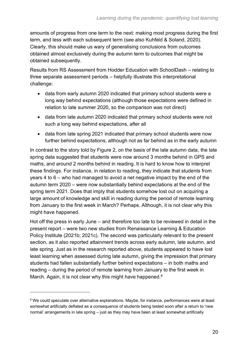amounts of progress from one term to the next: making most progress during the first term, and less with each subsequent term (see also Kuhfeld & Soland, 2020). Clearly, this should make us wary of generalising conclusions from outcomes obtained almost exclusively during the autumn term to outcomes that might be obtained subsequently.

Results from RS Assessment from Hodder Education with SchoolDash – relating to three separate assessment periods – helpfully illustrate this interpretational challenge:

- data from early autumn 2020 indicated that primary school students were a long way behind expectations (although those expectations were defined in relation to late summer 2020, so the comparison was not direct)
- data from late autumn 2020 indicated that primary school students were not such a long way behind expectations, after all
- data from late spring 2021 indicated that primary school students were now further behind expectations, although not as far behind as in the early autumn

In contrast to the story told by Figure 2, on the basis of the late autumn data, the late spring data suggested that students were now around 3 months behind in GPS and maths, and around 2 months behind in reading. It is hard to know how to interpret these findings. For instance, in relation to reading, they indicate that students from years 4 to 6 – who had managed to avoid a net negative impact by the end of the autumn term 2020 – were now substantially behind expectations at the end of the spring term 2021. Does that imply that students somehow lost out on acquiring a large amount of knowledge and skill in reading during the period of remote learning from January to the first week in March? Perhaps. Although, it is not clear why this might have happened.

Hot off the press in early June – and therefore too late to be reviewed in detail in the present report – were two new studies from Renaissance Learning & Education Policy Institute (2021b; 2021c). The second was particularly relevant to the present section, as it also reported attainment trends across early autumn, late autumn, and late spring. Just as in the research reported above, students appeared to have lost least learning when assessed during late autumn, giving the impression that primary students had fallen substantially further behind expectations – in both maths and reading – during the period of remote learning from January to the first week in March. Again, it is not clear why this might have happened.<sup>8</sup>

<sup>&</sup>lt;sup>8</sup> We could speculate over alternative explanations. Maybe, for instance, performances were at least somewhat artificially deflated as a consequence of students being tested soon after a return to 'new normal' arrangements in late spring – just as they may have been at least somewhat artificially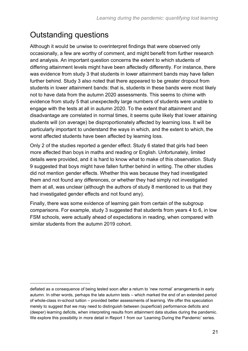# <span id="page-20-0"></span>Outstanding questions

Although it would be unwise to overinterpret findings that were observed only occasionally, a few are worthy of comment, and might benefit from further research and analysis. An important question concerns the extent to which students of differing attainment levels might have been affectedly differently. For instance, there was evidence from study 3 that students in lower attainment bands may have fallen further behind. Study 3 also noted that there appeared to be greater dropout from students in lower attainment bands: that is, students in these bands were most likely not to have data from the autumn 2020 assessments. This seems to chime with evidence from study 5 that unexpectedly large numbers of students were unable to engage with the tests at all in autumn 2020. To the extent that attainment and disadvantage are correlated in normal times, it seems quite likely that lower attaining students will (on average) be disproportionately affected by learning loss. It will be particularly important to understand the ways in which, and the extent to which, the worst affected students have been affected by learning loss.

Only 2 of the studies reported a gender effect. Study 6 stated that girls had been more affected than boys in maths and reading or English. Unfortunately, limited details were provided, and it is hard to know what to make of this observation. Study 9 suggested that boys might have fallen further behind in writing. The other studies did not mention gender effects. Whether this was because they had investigated them and not found any differences, or whether they had simply not investigated them at all, was unclear (although the authors of study 8 mentioned to us that they had investigated gender effects and not found any).

Finally, there was some evidence of learning gain from certain of the subgroup comparisons. For example, study 3 suggested that students from years 4 to 6, in low FSM schools, were actually ahead of expectations in reading, when compared with similar students from the autumn 2019 cohort.

deflated as a consequence of being tested soon after a return to 'new normal' arrangements in early autumn. In other words, perhaps the late autumn tests – which marked the end of an extended period of whole-class in-school tuition – provided better assessments of learning. We offer this speculation merely to suggest that we may need to distinguish between (superficial) performance deficits and (deeper) learning deficits, when interpreting results from attainment data studies during the pandemic. We explore this possibility in more detail in Report 1 from our 'Learning During the Pandemic' series.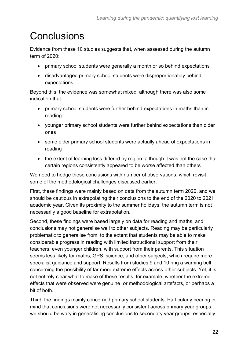# <span id="page-21-0"></span>**Conclusions**

Evidence from these 10 studies suggests that, when assessed during the autumn term of 2020:

- primary school students were generally a month or so behind expectations
- disadvantaged primary school students were disproportionately behind expectations

Beyond this, the evidence was somewhat mixed, although there was also some indication that:

- primary school students were further behind expectations in maths than in reading
- younger primary school students were further behind expectations than older ones
- some older primary school students were actually ahead of expectations in reading
- the extent of learning loss differed by region, although it was not the case that certain regions consistently appeared to be worse affected than others

We need to hedge these conclusions with number of observations, which revisit some of the methodological challenges discussed earlier.

First, these findings were mainly based on data from the autumn term 2020, and we should be cautious in extrapolating their conclusions to the end of the 2020 to 2021 academic year. Given its proximity to the summer holidays, the autumn term is not necessarily a good baseline for extrapolation.

Second, these findings were based largely on data for reading and maths, and conclusions may not generalise well to other subjects. Reading may be particularly problematic to generalise from, to the extent that students may be able to make considerable progress in reading with limited instructional support from their teachers; even younger children, with support from their parents. This situation seems less likely for maths, GPS, science, and other subjects, which require more specialist guidance and support. Results from studies 9 and 10 ring a warning bell concerning the possibility of far more extreme effects across other subjects. Yet, it is not entirely clear what to make of these results, for example, whether the extreme effects that were observed were genuine, or methodological artefacts, or perhaps a bit of both.

Third, the findings mainly concerned primary school students. Particularly bearing in mind that conclusions were not necessarily consistent across primary year groups, we should be wary in generalising conclusions to secondary year groups, especially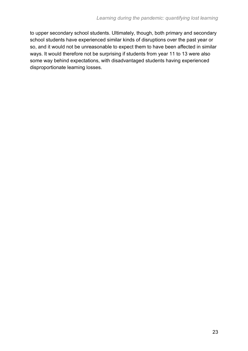to upper secondary school students. Ultimately, though, both primary and secondary school students have experienced similar kinds of disruptions over the past year or so, and it would not be unreasonable to expect them to have been affected in similar ways. It would therefore not be surprising if students from year 11 to 13 were also some way behind expectations, with disadvantaged students having experienced disproportionate learning losses.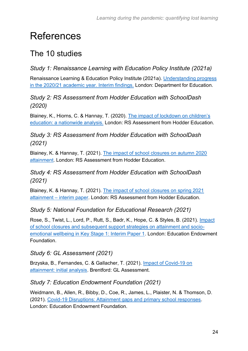# <span id="page-23-0"></span>References

### <span id="page-23-1"></span>The 10 studies

### *Study 1: Renaissance Learning with Education Policy Institute (2021a)*

Renaissance Learning & Education Policy Institute (2021a). [Understanding progress](https://www.gov.uk/government/publications/pupils-progress-in-the-2020-to-2021-academic-year-interim-report)  [in the 2020/21 academic year. Interim findings.](https://www.gov.uk/government/publications/pupils-progress-in-the-2020-to-2021-academic-year-interim-report) London: Department for Education.

#### *Study 2: RS Assessment from Hodder Education with SchoolDash (2020)*

Blainey, K., Hiorns, C. & Hannay, T. (2020). [The impact of lockdown on children's](https://www.risingstars-uk.com/media/Rising-Stars/Assessment/Whitepapers/RS_Assessment_white_paper_1.pdf)  [education: a nationwide analysis.](https://www.risingstars-uk.com/media/Rising-Stars/Assessment/Whitepapers/RS_Assessment_white_paper_1.pdf) London: RS Assessment from Hodder Education.

*Study 3: RS Assessment from Hodder Education with SchoolDash (2021)*

Blainey, K. & Hannay, T. (2021). [The impact of school closures on autumn 2020](https://www.risingstars-uk.com/media/Rising-Stars/Assessment/RS_Assessment_white_paper_2021_impact_of_school_closures_on_autumn_2020_attainment.pdf)  [attainment.](https://www.risingstars-uk.com/media/Rising-Stars/Assessment/RS_Assessment_white_paper_2021_impact_of_school_closures_on_autumn_2020_attainment.pdf) London: RS Assessment from Hodder Education.

#### *Study 4: RS Assessment from Hodder Education with SchoolDash (2021)*

Blainey, K. & Hannay, T. (2021). [The impact of school closures on spring 2021](https://www.risingstars-uk.com/rs-assessment/whitepapers)  attainment – [interim paper.](https://www.risingstars-uk.com/rs-assessment/whitepapers) London: RS Assessment from Hodder Education.

*Study 5: National Foundation for Educational Research (2021)*

Rose, S., Twist, L., Lord, P., Rutt, S., Badr, K., Hope, C. & Styles, B. (2021). [Impact](https://educationendowmentfoundation.org.uk/projects-and-evaluation/projects/nfer-impact-of-school-closures-and-subsequent-support-strategies-on-attainm/)  [of school closures and subsequent support strategies on attainment and socio](https://educationendowmentfoundation.org.uk/projects-and-evaluation/projects/nfer-impact-of-school-closures-and-subsequent-support-strategies-on-attainm/)[emotional wellbeing in Key Stage 1: Interim Paper 1.](https://educationendowmentfoundation.org.uk/projects-and-evaluation/projects/nfer-impact-of-school-closures-and-subsequent-support-strategies-on-attainm/) London: Education Endowment Foundation.

#### *Study 6: GL Assessment (2021)*

Brzyska, B., Fernandes, C. & Gallacher, T. (2021). [Impact of Covid-19 on](https://www.gl-assessment.co.uk/news-hub/research-reports/impact-of-covid-19-on-attainment-initial-analysis/)  [attainment: initial analysis.](https://www.gl-assessment.co.uk/news-hub/research-reports/impact-of-covid-19-on-attainment-initial-analysis/) Brentford: GL Assessment.

#### *Study 7: Education Endowment Foundation (2021)*

Weidmann, B., Allen, R., Bibby, D., Coe, R., James, L., Plaister, N. & Thomson, D. (2021). [Covid-19 Disruptions: Attainment gaps and primary school responses.](https://educationendowmentfoundation.org.uk/projects-and-evaluation/projects/covid-19-disruptions-in-primary-schools-attainment-gaps-and-school-response/?utm_source=site&utm_medium=search&utm_campaign=site_search&search_term=impact%20of%20covid) London: Education Endowment Foundation.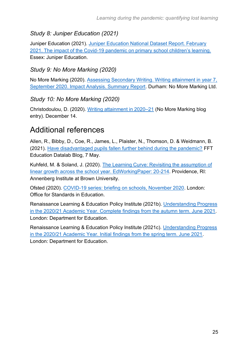#### *Study 8: Juniper Education (2021)*

Juniper Education (2021). [Juniper Education National Dataset Report. February](https://junipereducation.org/youngest-pupils-learning-worst-affected-by-covid-19-pandemic-new-report-reveals/)  2021. The impact of the Covid-19 [pandemic on primary school children's learning.](https://junipereducation.org/youngest-pupils-learning-worst-affected-by-covid-19-pandemic-new-report-reveals/) Essex: Juniper Education.

#### *Study 9: No More Marking (2020)*

No More Marking (2020). [Assessing Secondary Writing. Writing attainment in year 7,](https://nmm-v2.s3-eu-west-1.amazonaws.com/reports/334-NMM-Impact+Analysis-ART.pdf)  [September 2020. Impact Analysis. Summary Report.](https://nmm-v2.s3-eu-west-1.amazonaws.com/reports/334-NMM-Impact+Analysis-ART.pdf) Durham: No More Marking Ltd.

#### *Study 10: No More Marking (2020)*

Christodoulou, D. (2020). [Writing attainment in 2020–21](https://blog.nomoremarking.com/progress-in-2020-21-a-summary-of-our-assessments-so-far-f32e42add6f0) (No More Marking blog entry). December 14.

### <span id="page-24-0"></span>Additional references

Allen, R., Bibby, D., Coe, R., James, L., Plaister, N., Thomson, D. & Weidmann, B. (2021). [Have disadvantaged pupils fallen further behind during the pandemic?](https://ffteducationdatalab.org.uk/2021/05/have-disadvantaged-pupils-fallen-further-behind-during-the-pandemic/) FFT Education Datalab Blog, 7 May.

Kuhfeld, M. & Soland, J. (2020). [The Learning Curve: Revisiting the assumption of](https://www.edworkingpapers.com/ai20-214)  [linear growth across the school year. EdWorkingPaper: 20-214.](https://www.edworkingpapers.com/ai20-214) Providence, RI: Annenberg Institute at Brown University.

Ofsted (2020). [COVID-19 series: briefing on schools, November 2020.](https://www.gov.uk/government/publications/covid-19-series-briefing-on-schools-november-2020) London: Office for Standards in Education.

Renaissance Learning & Education Policy Institute (2021b). [Understanding Progress](https://www.gov.uk/government/publications/pupils-progress-in-the-2020-to-2021-academic-year-interim-report)  [in the 2020/21 Academic Year. Complete findings from the autumn term. June 2021.](https://www.gov.uk/government/publications/pupils-progress-in-the-2020-to-2021-academic-year-interim-report) London: Department for Education.

Renaissance Learning & Education Policy Institute (2021c). [Understanding Progress](https://www.gov.uk/government/publications/pupils-progress-in-the-2020-to-2021-academic-year-interim-report)  [in the 2020/21 Academic Year. Initial findings from the spring term. June 2021.](https://www.gov.uk/government/publications/pupils-progress-in-the-2020-to-2021-academic-year-interim-report) London: Department for Education.